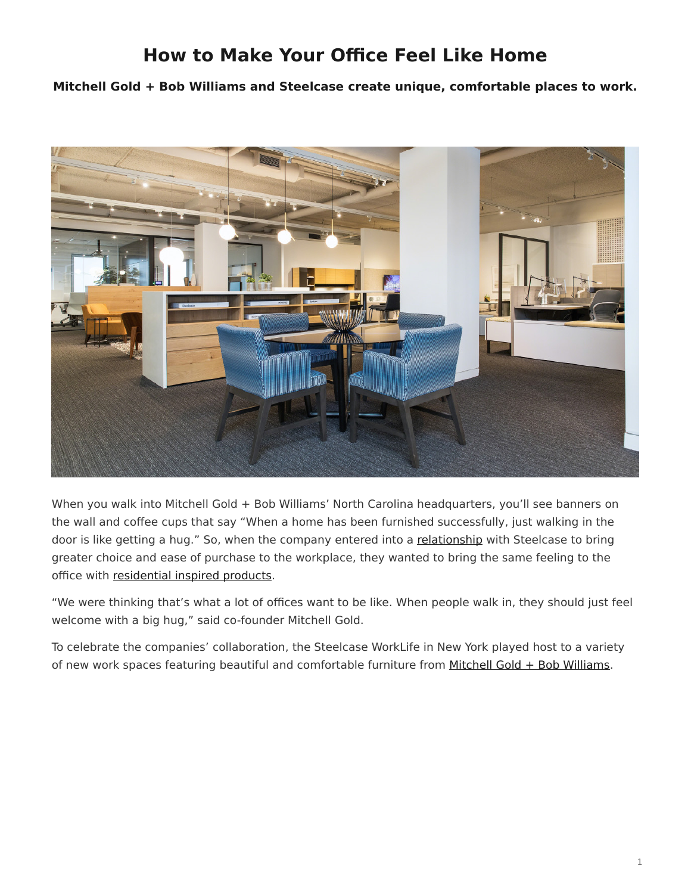## **How to Make Your Office Feel Like Home**

<span id="page-0-0"></span>**Mitchell Gold + Bob Williams and Steelcase create unique, comfortable places to work.**



When you walk into Mitchell Gold + Bob Williams' North Carolina headquarters, you'll see banners on the wall and coffee cups that say "When a home has been furnished successfully, just walking in the door is like getting a hug." So, when the company entered into a [relationship](https://www.steelcase.com/our-partners/#mitchell-gold-bob-williams) with Steelcase to bring greater choice and ease of purchase to the workplace, they wanted to bring the same feeling to the office with [residential inspired products.](https://www.steelcase.com/products/lounge-chairs/)

"We were thinking that's what a lot of offices want to be like. When people walk in, they should just feel welcome with a big hug," said co-founder Mitchell Gold.

To celebrate the companies' collaboration, the Steelcase WorkLife in New York played host to a variety of new work spaces featuring beautiful and comfortable furniture from Mitchell Gold  $+$  Bob Williams.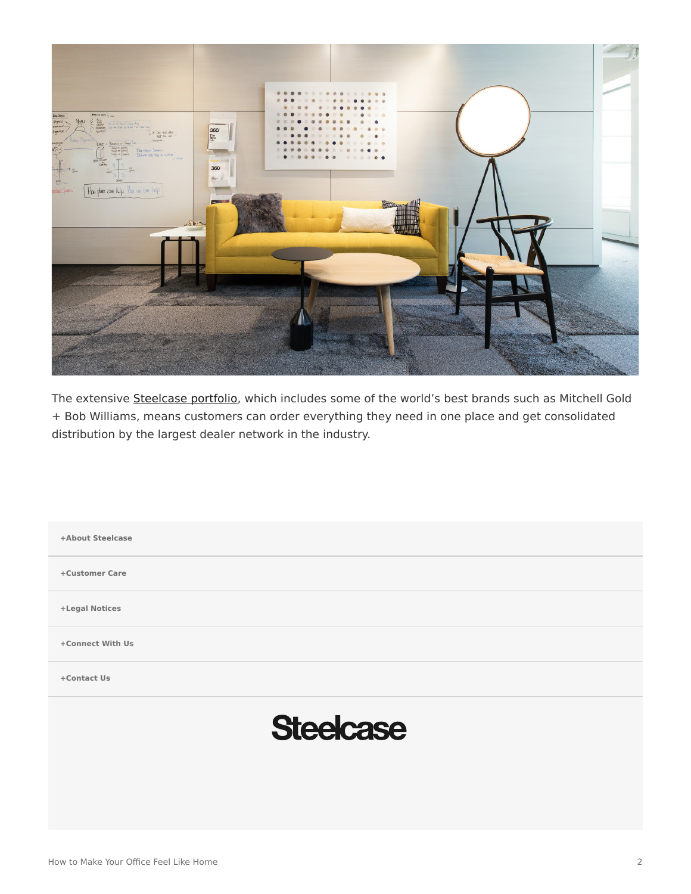

The extensive [Steelcase portfolio](https://www.steelcase.com/our-partners/), which includes some of the world's best brands such as Mitchell Gold + Bob Williams, means customers can order everything they need in one place and get consolidated distribution by the largest dealer network in the industry.

**[+About Steelcase](https://www.steelcase.com/discover/steelcase/our-company/) [+Customer Care](#page-0-0) [+Legal Notices](#page-0-0) [Connect With Us](https://www.steelcase.com/find-us/social-media/) [+](https://www.steelcase.com/find-us/social-media/) [Contact Us](https://www.steelcase.com/about/connect/contact-us/) [+](https://www.steelcase.com/about/connect/contact-us/) Steelcase** How to Make Your Office Feel Like Home 2